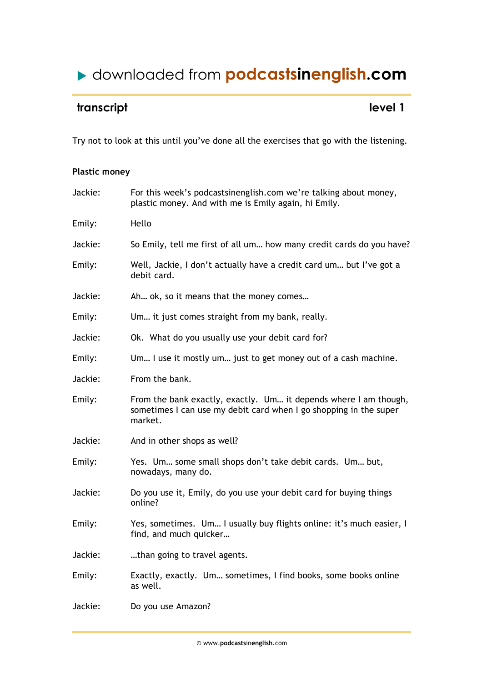### downloaded from **podcastsinenglish.com**

### **transcript** level 1

Try not to look at this until you've done all the exercises that go with the listening.

### **Plastic money**

| Jackie: | For this week's podcastsinenglish.com we're talking about money,<br>plastic money. And with me is Emily again, hi Emily.                         |
|---------|--------------------------------------------------------------------------------------------------------------------------------------------------|
| Emily:  | Hello                                                                                                                                            |
| Jackie: | So Emily, tell me first of all um how many credit cards do you have?                                                                             |
| Emily:  | Well, Jackie, I don't actually have a credit card um but I've got a<br>debit card.                                                               |
| Jackie: | Ah ok, so it means that the money comes                                                                                                          |
| Emily:  | Um it just comes straight from my bank, really.                                                                                                  |
| Jackie: | Ok. What do you usually use your debit card for?                                                                                                 |
| Emily:  | Um I use it mostly um just to get money out of a cash machine.                                                                                   |
| Jackie: | From the bank.                                                                                                                                   |
| Emily:  | From the bank exactly, exactly. Um it depends where I am though,<br>sometimes I can use my debit card when I go shopping in the super<br>market. |
| Jackie: | And in other shops as well?                                                                                                                      |
| Emily:  | Yes. Um some small shops don't take debit cards. Um but,<br>nowadays, many do.                                                                   |
| Jackie: | Do you use it, Emily, do you use your debit card for buying things<br>online?                                                                    |
| Emily:  | Yes, sometimes. Um I usually buy flights online: it's much easier, I<br>find, and much quicker                                                   |
| Jackie: | than going to travel agents.                                                                                                                     |
| Emily:  | Exactly, exactly. Um sometimes, I find books, some books online<br>as well.                                                                      |
| Jackie: | Do you use Amazon?                                                                                                                               |
|         |                                                                                                                                                  |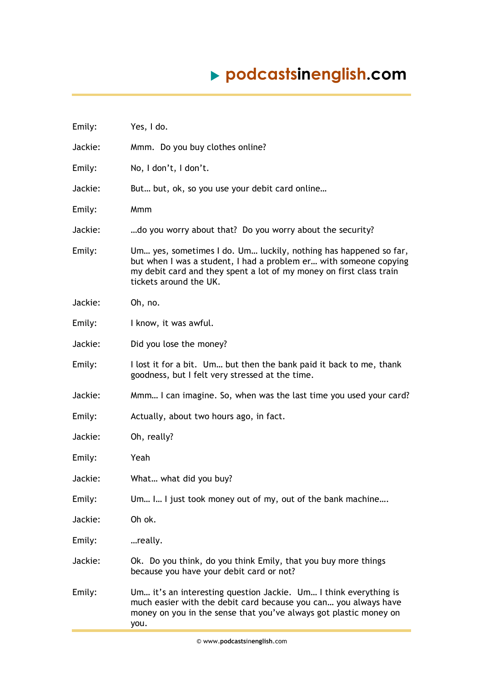# **podcastsinenglish.com**

| Emily:  | Yes, I do.                                                                                                                                                                                                                             |
|---------|----------------------------------------------------------------------------------------------------------------------------------------------------------------------------------------------------------------------------------------|
| Jackie: | Mmm. Do you buy clothes online?                                                                                                                                                                                                        |
| Emily:  | No, I don't, I don't.                                                                                                                                                                                                                  |
| Jackie: | But but, ok, so you use your debit card online                                                                                                                                                                                         |
| Emily:  | Mmm                                                                                                                                                                                                                                    |
| Jackie: | do you worry about that? Do you worry about the security?                                                                                                                                                                              |
| Emily:  | Um yes, sometimes I do. Um luckily, nothing has happened so far,<br>but when I was a student, I had a problem er with someone copying<br>my debit card and they spent a lot of my money on first class train<br>tickets around the UK. |
| Jackie: | Oh, no.                                                                                                                                                                                                                                |
| Emily:  | I know, it was awful.                                                                                                                                                                                                                  |
| Jackie: | Did you lose the money?                                                                                                                                                                                                                |
| Emily:  | I lost it for a bit. Um but then the bank paid it back to me, thank<br>goodness, but I felt very stressed at the time.                                                                                                                 |
| Jackie: | Mmm I can imagine. So, when was the last time you used your card?                                                                                                                                                                      |
| Emily:  | Actually, about two hours ago, in fact.                                                                                                                                                                                                |
| Jackie: | Oh, really?                                                                                                                                                                                                                            |
| Emily:  | Yeah                                                                                                                                                                                                                                   |
| Jackie: | What what did you buy?                                                                                                                                                                                                                 |
| Emily:  | Um I I just took money out of my, out of the bank machine                                                                                                                                                                              |
| Jackie: | Oh ok.                                                                                                                                                                                                                                 |
| Emily:  | really.                                                                                                                                                                                                                                |
| Jackie: | Ok. Do you think, do you think Emily, that you buy more things<br>because you have your debit card or not?                                                                                                                             |
| Emily:  | Um it's an interesting question Jackie. Um I think everything is<br>much easier with the debit card because you can you always have<br>money on you in the sense that you've always got plastic money on<br>you.                       |